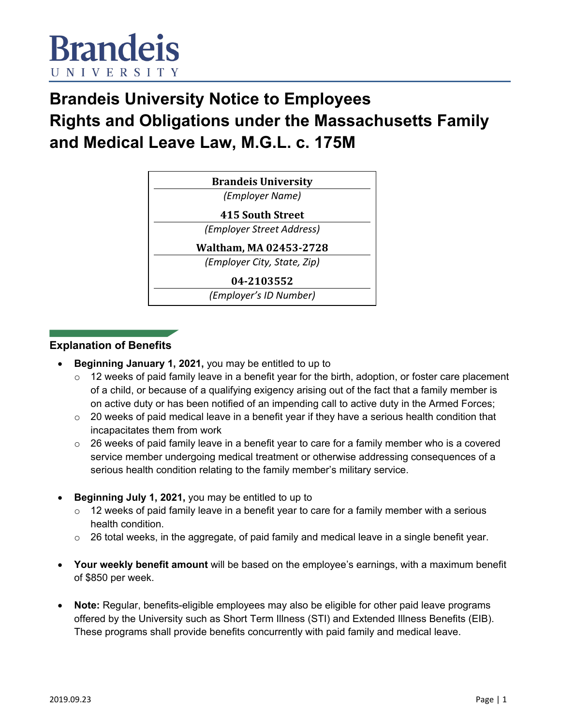

# **Brandeis University Notice to Employees Rights and Obligations under the Massachusetts Family and Medical Leave Law, M.G.L. c. 175M**

| <b>Brandeis University</b>  |
|-----------------------------|
| (Employer Name)             |
| <b>415 South Street</b>     |
| (Employer Street Address)   |
| Waltham, MA 02453-2728      |
| (Employer City, State, Zip) |
| 04-2103552                  |
| (Employer's ID Number)      |

#### **Explanation of Benefits**

- **Beginning January 1, 2021,** you may be entitled to up to
	- o 12 weeks of paid family leave in a benefit year for the birth, adoption, or foster care placement of a child, or because of a qualifying exigency arising out of the fact that a family member is on active duty or has been notified of an impending call to active duty in the Armed Forces;
	- $\circ$  20 weeks of paid medical leave in a benefit year if they have a serious health condition that incapacitates them from work
	- $\circ$  26 weeks of paid family leave in a benefit year to care for a family member who is a covered service member undergoing medical treatment or otherwise addressing consequences of a serious health condition relating to the family member's military service.
- **Beginning July 1, 2021,** you may be entitled to up to
	- o 12 weeks of paid family leave in a benefit year to care for a family member with a serious health condition.
	- $\circ$  26 total weeks, in the aggregate, of paid family and medical leave in a single benefit year.
- **Your weekly benefit amount** will be based on the employee's earnings, with a maximum benefit of \$850 per week.
- **Note:** Regular, benefits-eligible employees may also be eligible for other paid leave programs offered by the University such as Short Term Illness (STI) and Extended Illness Benefits (EIB). These programs shall provide benefits concurrently with paid family and medical leave.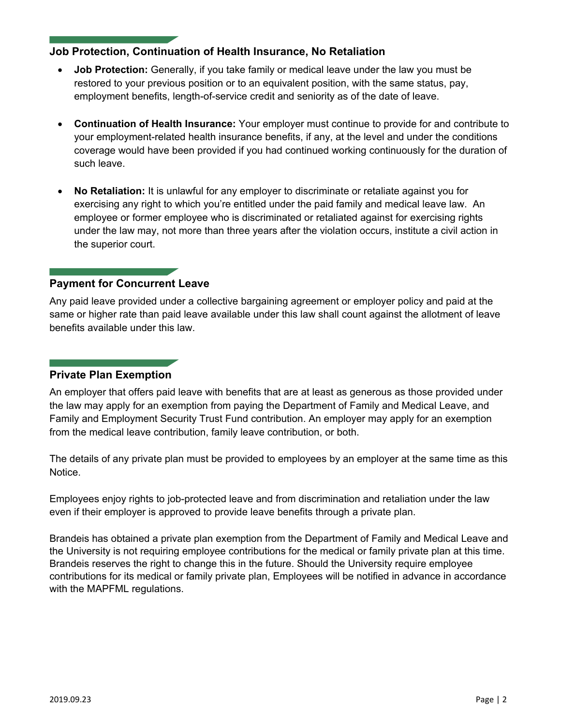# **Job Protection, Continuation of Health Insurance, No Retaliation**

- **Job Protection:** Generally, if you take family or medical leave under the law you must be restored to your previous position or to an equivalent position, with the same status, pay, employment benefits, length-of-service credit and seniority as of the date of leave.
- **Continuation of Health Insurance:** Your employer must continue to provide for and contribute to your employment-related health insurance benefits, if any, at the level and under the conditions coverage would have been provided if you had continued working continuously for the duration of such leave.
- **No Retaliation:** It is unlawful for any employer to discriminate or retaliate against you for exercising any right to which you're entitled under the paid family and medical leave law. An employee or former employee who is discriminated or retaliated against for exercising rights under the law may, not more than three years after the violation occurs, institute a civil action in the superior court.

## **Payment for Concurrent Leave**

Any paid leave provided under a collective bargaining agreement or employer policy and paid at the same or higher rate than paid leave available under this law shall count against the allotment of leave benefits available under this law.

## **Private Plan Exemption**

An employer that offers paid leave with benefits that are at least as generous as those provided under the law may apply for an exemption from paying the Department of Family and Medical Leave, and Family and Employment Security Trust Fund contribution. An employer may apply for an exemption from the medical leave contribution, family leave contribution, or both.

The details of any private plan must be provided to employees by an employer at the same time as this Notice.

Employees enjoy rights to job-protected leave and from discrimination and retaliation under the law even if their employer is approved to provide leave benefits through a private plan.

Brandeis has obtained a private plan exemption from the Department of Family and Medical Leave and the University is not requiring employee contributions for the medical or family private plan at this time. Brandeis reserves the right to change this in the future. Should the University require employee contributions for its medical or family private plan, Employees will be notified in advance in accordance with the MAPFML regulations.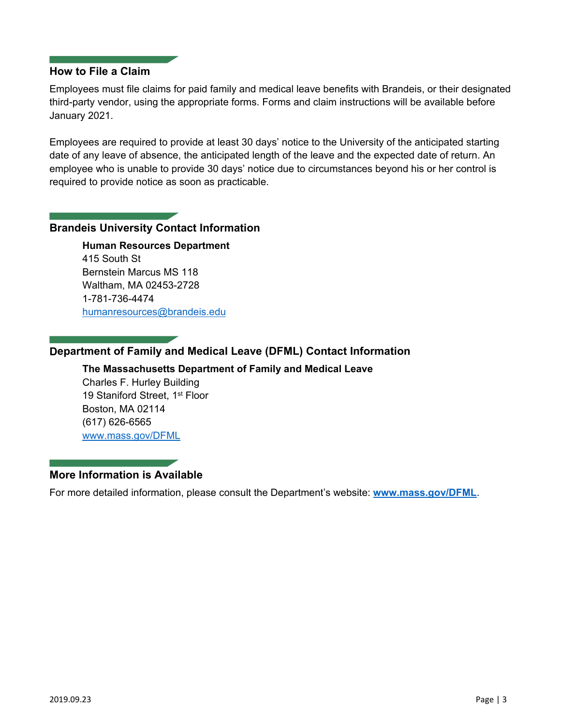#### **How to File a Claim**

Employees must file claims for paid family and medical leave benefits with Brandeis, or their designated third-party vendor, using the appropriate forms. Forms and claim instructions will be available before January 2021.

Employees are required to provide at least 30 days' notice to the University of the anticipated starting date of any leave of absence, the anticipated length of the leave and the expected date of return. An employee who is unable to provide 30 days' notice due to circumstances beyond his or her control is required to provide notice as soon as practicable.

#### **Brandeis University Contact Information**

**Human Resources Department** 415 South St Bernstein Marcus MS 118 Waltham, MA 02453-2728 1-781-736-4474 humanresources@brandeis.edu

# **Department of Family and Medical Leave (DFML) Contact Information**

#### **The Massachusetts Department of Family and Medical Leave**

Charles F. Hurley Building 19 Staniford Street, 1<sup>st</sup> Floor Boston, MA 02114 (617) 626-6565 [www.mass.gov/DFML](http://www.mass.gov/DFML)

## **More Information is Available**

For more detailed information, please consult the Department's website: **[www.mass.gov/DFML](https://www.mass.gov/DFML)**.